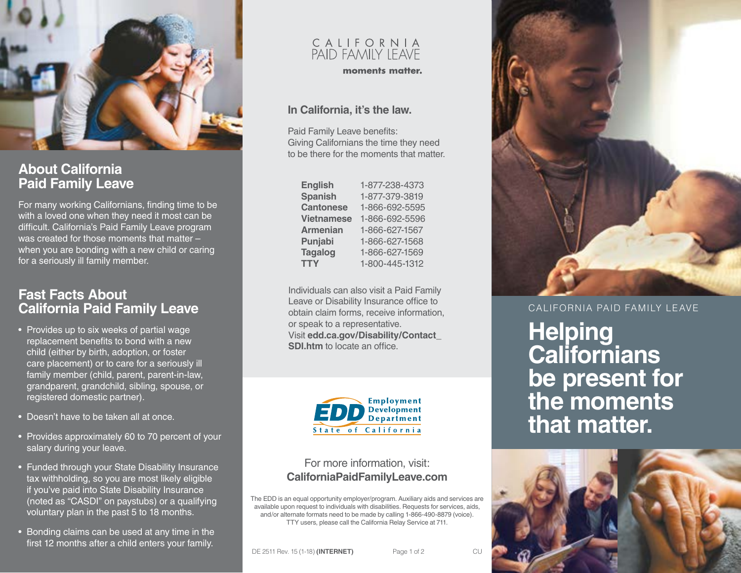

## **About California Paid Family Leave**

For many working Californians, finding time to be with a loved one when they need it most can be difficult. California's Paid Family Leave program was created for those moments that matter – when you are bonding with a new child or caring for a seriously ill family member.

### **Fast Facts About California Paid Family Leave**

- Provides up to six weeks of partial wage replacement benefits to bond with a new child (either by birth, adoption, or foster care placement) or to care for a seriously ill family member (child, parent, parent-in-law, grandparent, grandchild, sibling, spouse, or registered domestic partner).
- Doesn't have to be taken all at once.
- Provides approximately 60 to 70 percent of your salary during your leave.
- Funded through your State Disability Insurance tax withholding, so you are most likely eligible if you've paid into State Disability Insurance (noted as "CASDI" on paystubs) or a qualifying voluntary plan in the past 5 to 18 months.
- Bonding claims can be used at any time in the first 12 months after a child enters your family.

# C A L I F O R N I A<br>PAID FAMILY LEAVE

moments matter.

#### **In California, it's the law.**

Paid Family Leave benefits: Giving Californians the time they need to be there for the moments that matter.

| <b>English</b>    | 1-877-238-4373 |
|-------------------|----------------|
| <b>Spanish</b>    | 1-877-379-3819 |
| <b>Cantonese</b>  | 1-866-692-5595 |
| <b>Vietnamese</b> | 1-866-692-5596 |
| <b>Armenian</b>   | 1-866-627-1567 |
| Punjabi           | 1-866-627-1568 |
| <b>Tagalog</b>    | 1-866-627-1569 |
| <b>TTY</b>        | 1-800-445-1312 |

Individuals can also visit a Paid Family Leave or Disability Insurance office to obtain claim forms, receive information, or speak to a representative. Visit **[edd.ca.gov/Disability/Contact\\_](http://edd.ca.gov/Disability/Contact_SDI.htm) [SDI.htm](http://edd.ca.gov/Disability/Contact_SDI.htm)** to locate an office



#### For more information, visit: **[CaliforniaPaidFamilyLeave.com](http://CaliforniaPaidFamilyLeave.com)**

The EDD is an equal opportunity employer/program. Auxiliary aids and services are available upon request to individuals with disabilities. Requests for services, aids, and/or alternate formats need to be made by calling 1-866-490-8879 (voice). TTY users, please call the California Relay Service at 711.



CALIFORNIA PAID FAMILY LEAVE

**Helping Californians be present for the moments that matter.**